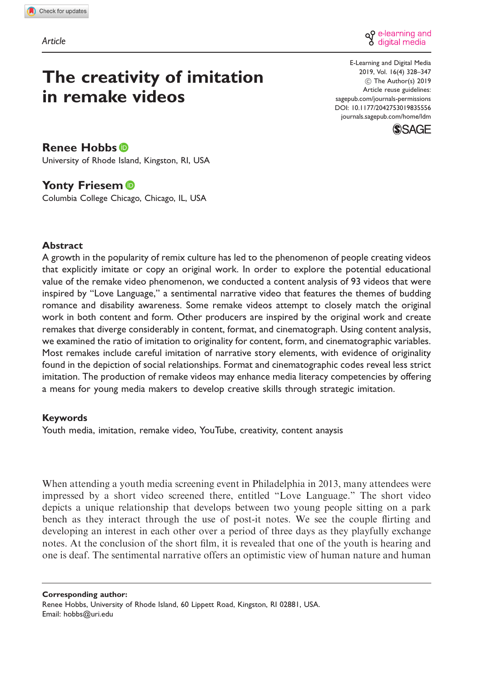

# The creativity of imitation in remake videos

E-Learning and Digital Media 2019, Vol. 16(4) 328–347  $\circ$  The Author(s) 2019 Article reuse guidelines: [sagepub.com/journals-permissions](http://uk.sagepub.com/en-gb/journals-permissions) [DOI: 10.1177/2042753019835556](http://dx.doi.org/10.1177/2042753019835556) <journals.sagepub.com/home/ldm>



# Renee Hobbs<sup>®</sup>

University of Rhode Island, Kingston, RI, USA

# Yonty Friesem<sup>®</sup>

Columbia College Chicago, Chicago, IL, USA

### Abstract

A growth in the popularity of remix culture has led to the phenomenon of people creating videos that explicitly imitate or copy an original work. In order to explore the potential educational value of the remake video phenomenon, we conducted a content analysis of 93 videos that were inspired by "Love Language," a sentimental narrative video that features the themes of budding romance and disability awareness. Some remake videos attempt to closely match the original work in both content and form. Other producers are inspired by the original work and create remakes that diverge considerably in content, format, and cinematograph. Using content analysis, we examined the ratio of imitation to originality for content, form, and cinematographic variables. Most remakes include careful imitation of narrative story elements, with evidence of originality found in the depiction of social relationships. Format and cinematographic codes reveal less strict imitation. The production of remake videos may enhance media literacy competencies by offering a means for young media makers to develop creative skills through strategic imitation.

### Keywords

Youth media, imitation, remake video, YouTube, creativity, content anaysis

When attending a youth media screening event in Philadelphia in 2013, many attendees were impressed by a short video screened there, entitled "Love Language." The short video depicts a unique relationship that develops between two young people sitting on a park bench as they interact through the use of post-it notes. We see the couple flirting and developing an interest in each other over a period of three days as they playfully exchange notes. At the conclusion of the short film, it is revealed that one of the youth is hearing and one is deaf. The sentimental narrative offers an optimistic view of human nature and human

Corresponding author: Renee Hobbs, University of Rhode Island, 60 Lippett Road, Kingston, RI 02881, USA. Email: [hobbs@uri.edu](mailto:hobbs@uri.edu)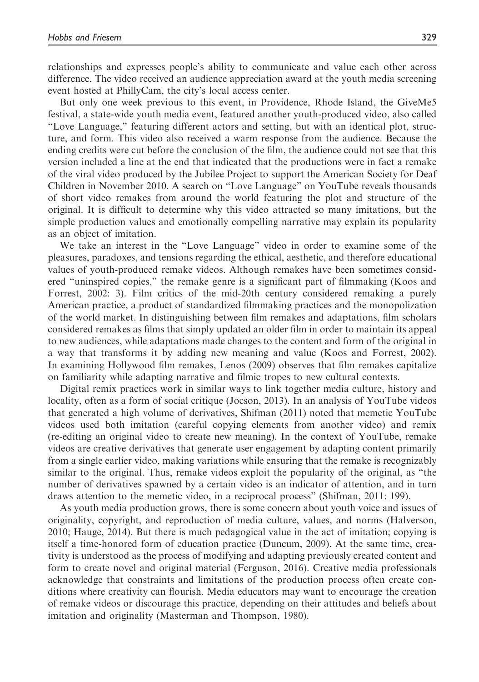relationships and expresses people's ability to communicate and value each other across difference. The video received an audience appreciation award at the youth media screening event hosted at PhillyCam, the city's local access center.

But only one week previous to this event, in Providence, Rhode Island, the GiveMe5 festival, a state-wide youth media event, featured another youth-produced video, also called "Love Language," featuring different actors and setting, but with an identical plot, structure, and form. This video also received a warm response from the audience. Because the ending credits were cut before the conclusion of the film, the audience could not see that this version included a line at the end that indicated that the productions were in fact a remake of the viral video produced by the Jubilee Project to support the American Society for Deaf Children in November 2010. A search on "Love Language" on YouTube reveals thousands of short video remakes from around the world featuring the plot and structure of the original. It is difficult to determine why this video attracted so many imitations, but the simple production values and emotionally compelling narrative may explain its popularity as an object of imitation.

We take an interest in the "Love Language" video in order to examine some of the pleasures, paradoxes, and tensions regarding the ethical, aesthetic, and therefore educational values of youth-produced remake videos. Although remakes have been sometimes considered "uninspired copies," the remake genre is a significant part of filmmaking (Koos and Forrest, 2002: 3). Film critics of the mid-20th century considered remaking a purely American practice, a product of standardized filmmaking practices and the monopolization of the world market. In distinguishing between film remakes and adaptations, film scholars considered remakes as films that simply updated an older film in order to maintain its appeal to new audiences, while adaptations made changes to the content and form of the original in a way that transforms it by adding new meaning and value (Koos and Forrest, 2002). In examining Hollywood film remakes, Lenos (2009) observes that film remakes capitalize on familiarity while adapting narrative and filmic tropes to new cultural contexts.

Digital remix practices work in similar ways to link together media culture, history and locality, often as a form of social critique (Jocson, 2013). In an analysis of YouTube videos that generated a high volume of derivatives, Shifman (2011) noted that memetic YouTube videos used both imitation (careful copying elements from another video) and remix (re-editing an original video to create new meaning). In the context of YouTube, remake videos are creative derivatives that generate user engagement by adapting content primarily from a single earlier video, making variations while ensuring that the remake is recognizably similar to the original. Thus, remake videos exploit the popularity of the original, as "the number of derivatives spawned by a certain video is an indicator of attention, and in turn draws attention to the memetic video, in a reciprocal process" (Shifman, 2011: 199).

As youth media production grows, there is some concern about youth voice and issues of originality, copyright, and reproduction of media culture, values, and norms (Halverson, 2010; Hauge, 2014). But there is much pedagogical value in the act of imitation; copying is itself a time-honored form of education practice (Duncum, 2009). At the same time, creativity is understood as the process of modifying and adapting previously created content and form to create novel and original material (Ferguson, 2016). Creative media professionals acknowledge that constraints and limitations of the production process often create conditions where creativity can flourish. Media educators may want to encourage the creation of remake videos or discourage this practice, depending on their attitudes and beliefs about imitation and originality (Masterman and Thompson, 1980).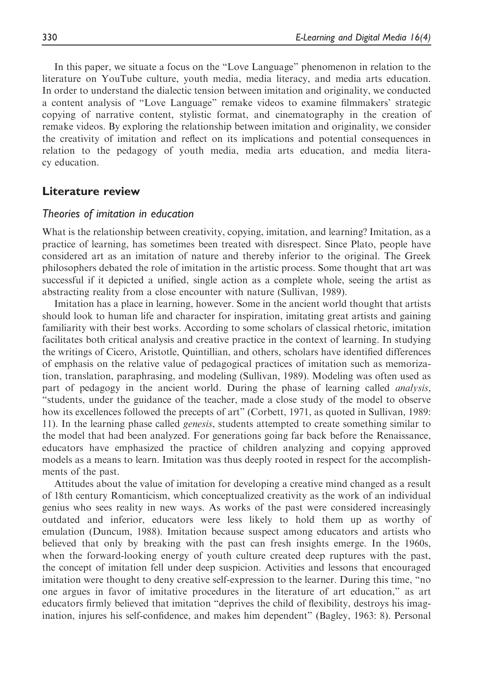In this paper, we situate a focus on the "Love Language" phenomenon in relation to the literature on YouTube culture, youth media, media literacy, and media arts education. In order to understand the dialectic tension between imitation and originality, we conducted a content analysis of "Love Language" remake videos to examine filmmakers' strategic copying of narrative content, stylistic format, and cinematography in the creation of remake videos. By exploring the relationship between imitation and originality, we consider the creativity of imitation and reflect on its implications and potential consequences in relation to the pedagogy of youth media, media arts education, and media literacy education.

## Literature review

### Theories of imitation in education

What is the relationship between creativity, copying, imitation, and learning? Imitation, as a practice of learning, has sometimes been treated with disrespect. Since Plato, people have considered art as an imitation of nature and thereby inferior to the original. The Greek philosophers debated the role of imitation in the artistic process. Some thought that art was successful if it depicted a unified, single action as a complete whole, seeing the artist as abstracting reality from a close encounter with nature (Sullivan, 1989).

Imitation has a place in learning, however. Some in the ancient world thought that artists should look to human life and character for inspiration, imitating great artists and gaining familiarity with their best works. According to some scholars of classical rhetoric, imitation facilitates both critical analysis and creative practice in the context of learning. In studying the writings of Cicero, Aristotle, Quintillian, and others, scholars have identified differences of emphasis on the relative value of pedagogical practices of imitation such as memorization, translation, paraphrasing, and modeling (Sullivan, 1989). Modeling was often used as part of pedagogy in the ancient world. During the phase of learning called analysis, "students, under the guidance of the teacher, made a close study of the model to observe how its excellences followed the precepts of art" (Corbett, 1971, as quoted in Sullivan, 1989: 11). In the learning phase called genesis, students attempted to create something similar to the model that had been analyzed. For generations going far back before the Renaissance, educators have emphasized the practice of children analyzing and copying approved models as a means to learn. Imitation was thus deeply rooted in respect for the accomplishments of the past.

Attitudes about the value of imitation for developing a creative mind changed as a result of 18th century Romanticism, which conceptualized creativity as the work of an individual genius who sees reality in new ways. As works of the past were considered increasingly outdated and inferior, educators were less likely to hold them up as worthy of emulation (Duncum, 1988). Imitation because suspect among educators and artists who believed that only by breaking with the past can fresh insights emerge. In the 1960s, when the forward-looking energy of youth culture created deep ruptures with the past, the concept of imitation fell under deep suspicion. Activities and lessons that encouraged imitation were thought to deny creative self-expression to the learner. During this time, "no one argues in favor of imitative procedures in the literature of art education," as art educators firmly believed that imitation "deprives the child of flexibility, destroys his imagination, injures his self-confidence, and makes him dependent" (Bagley, 1963: 8). Personal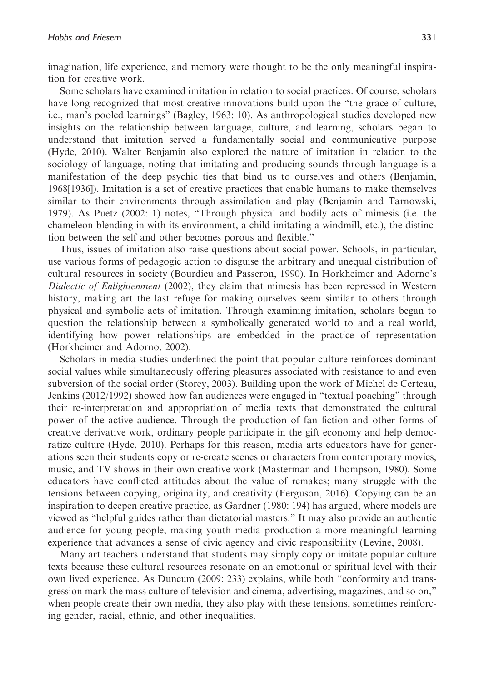imagination, life experience, and memory were thought to be the only meaningful inspiration for creative work.

Some scholars have examined imitation in relation to social practices. Of course, scholars have long recognized that most creative innovations build upon the "the grace of culture, i.e., man's pooled learnings" (Bagley, 1963: 10). As anthropological studies developed new insights on the relationship between language, culture, and learning, scholars began to understand that imitation served a fundamentally social and communicative purpose (Hyde, 2010). Walter Benjamin also explored the nature of imitation in relation to the sociology of language, noting that imitating and producing sounds through language is a manifestation of the deep psychic ties that bind us to ourselves and others (Benjamin, 1968[1936]). Imitation is a set of creative practices that enable humans to make themselves similar to their environments through assimilation and play (Benjamin and Tarnowski, 1979). As Puetz (2002: 1) notes, "Through physical and bodily acts of mimesis (i.e. the chameleon blending in with its environment, a child imitating a windmill, etc.), the distinction between the self and other becomes porous and flexible."

Thus, issues of imitation also raise questions about social power. Schools, in particular, use various forms of pedagogic action to disguise the arbitrary and unequal distribution of cultural resources in society (Bourdieu and Passeron, 1990). In Horkheimer and Adorno's Dialectic of Enlightenment (2002), they claim that mimesis has been repressed in Western history, making art the last refuge for making ourselves seem similar to others through physical and symbolic acts of imitation. Through examining imitation, scholars began to question the relationship between a symbolically generated world to and a real world, identifying how power relationships are embedded in the practice of representation (Horkheimer and Adorno, 2002).

Scholars in media studies underlined the point that popular culture reinforces dominant social values while simultaneously offering pleasures associated with resistance to and even subversion of the social order (Storey, 2003). Building upon the work of Michel de Certeau, Jenkins (2012/1992) showed how fan audiences were engaged in "textual poaching" through their re-interpretation and appropriation of media texts that demonstrated the cultural power of the active audience. Through the production of fan fiction and other forms of creative derivative work, ordinary people participate in the gift economy and help democratize culture (Hyde, 2010). Perhaps for this reason, media arts educators have for generations seen their students copy or re-create scenes or characters from contemporary movies, music, and TV shows in their own creative work (Masterman and Thompson, 1980). Some educators have conflicted attitudes about the value of remakes; many struggle with the tensions between copying, originality, and creativity (Ferguson, 2016). Copying can be an inspiration to deepen creative practice, as Gardner (1980: 194) has argued, where models are viewed as "helpful guides rather than dictatorial masters." It may also provide an authentic audience for young people, making youth media production a more meaningful learning experience that advances a sense of civic agency and civic responsibility (Levine, 2008).

Many art teachers understand that students may simply copy or imitate popular culture texts because these cultural resources resonate on an emotional or spiritual level with their own lived experience. As Duncum (2009: 233) explains, while both "conformity and transgression mark the mass culture of television and cinema, advertising, magazines, and so on," when people create their own media, they also play with these tensions, sometimes reinforcing gender, racial, ethnic, and other inequalities.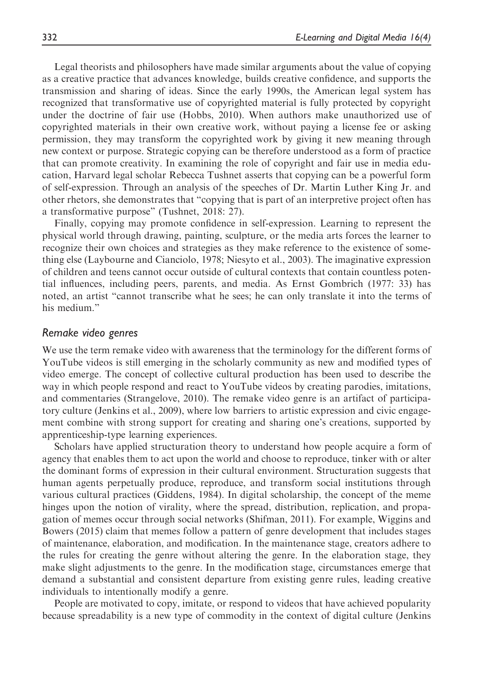Legal theorists and philosophers have made similar arguments about the value of copying as a creative practice that advances knowledge, builds creative confidence, and supports the transmission and sharing of ideas. Since the early 1990s, the American legal system has recognized that transformative use of copyrighted material is fully protected by copyright under the doctrine of fair use (Hobbs, 2010). When authors make unauthorized use of copyrighted materials in their own creative work, without paying a license fee or asking permission, they may transform the copyrighted work by giving it new meaning through new context or purpose. Strategic copying can be therefore understood as a form of practice that can promote creativity. In examining the role of copyright and fair use in media education, Harvard legal scholar Rebecca Tushnet asserts that copying can be a powerful form of self-expression. Through an analysis of the speeches of Dr. Martin Luther King Jr. and other rhetors, she demonstrates that "copying that is part of an interpretive project often has a transformative purpose" (Tushnet, 2018: 27).

Finally, copying may promote confidence in self-expression. Learning to represent the physical world through drawing, painting, sculpture, or the media arts forces the learner to recognize their own choices and strategies as they make reference to the existence of something else (Laybourne and Cianciolo, 1978; Niesyto et al., 2003). The imaginative expression of children and teens cannot occur outside of cultural contexts that contain countless potential influences, including peers, parents, and media. As Ernst Gombrich (1977: 33) has noted, an artist "cannot transcribe what he sees; he can only translate it into the terms of his medium."

### Remake video genres

We use the term remake video with awareness that the terminology for the different forms of YouTube videos is still emerging in the scholarly community as new and modified types of video emerge. The concept of collective cultural production has been used to describe the way in which people respond and react to YouTube videos by creating parodies, imitations, and commentaries (Strangelove, 2010). The remake video genre is an artifact of participatory culture (Jenkins et al., 2009), where low barriers to artistic expression and civic engagement combine with strong support for creating and sharing one's creations, supported by apprenticeship-type learning experiences.

Scholars have applied structuration theory to understand how people acquire a form of agency that enables them to act upon the world and choose to reproduce, tinker with or alter the dominant forms of expression in their cultural environment. Structuration suggests that human agents perpetually produce, reproduce, and transform social institutions through various cultural practices (Giddens, 1984). In digital scholarship, the concept of the meme hinges upon the notion of virality, where the spread, distribution, replication, and propagation of memes occur through social networks (Shifman, 2011). For example, Wiggins and Bowers (2015) claim that memes follow a pattern of genre development that includes stages of maintenance, elaboration, and modification. In the maintenance stage, creators adhere to the rules for creating the genre without altering the genre. In the elaboration stage, they make slight adjustments to the genre. In the modification stage, circumstances emerge that demand a substantial and consistent departure from existing genre rules, leading creative individuals to intentionally modify a genre.

People are motivated to copy, imitate, or respond to videos that have achieved popularity because spreadability is a new type of commodity in the context of digital culture (Jenkins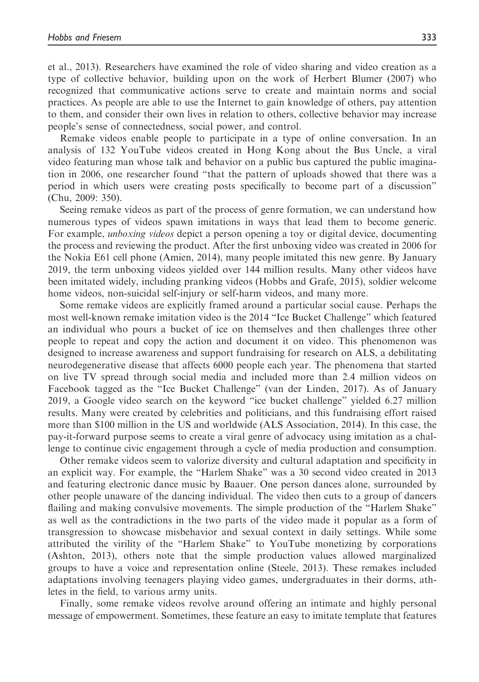et al., 2013). Researchers have examined the role of video sharing and video creation as a type of collective behavior, building upon on the work of Herbert Blumer (2007) who recognized that communicative actions serve to create and maintain norms and social practices. As people are able to use the Internet to gain knowledge of others, pay attention to them, and consider their own lives in relation to others, collective behavior may increase people's sense of connectedness, social power, and control.

Remake videos enable people to participate in a type of online conversation. In an analysis of 132 YouTube videos created in Hong Kong about the Bus Uncle, a viral video featuring man whose talk and behavior on a public bus captured the public imagination in 2006, one researcher found "that the pattern of uploads showed that there was a period in which users were creating posts specifically to become part of a discussion" (Chu, 2009: 350).

Seeing remake videos as part of the process of genre formation, we can understand how numerous types of videos spawn imitations in ways that lead them to become generic. For example, unboxing videos depict a person opening a toy or digital device, documenting the process and reviewing the product. After the first unboxing video was created in 2006 for the Nokia E61 cell phone (Amien, 2014), many people imitated this new genre. By January 2019, the term unboxing videos yielded over 144 million results. Many other videos have been imitated widely, including pranking videos (Hobbs and Grafe, 2015), soldier welcome home videos, non-suicidal self-injury or self-harm videos, and many more.

Some remake videos are explicitly framed around a particular social cause. Perhaps the most well-known remake imitation video is the 2014 "Ice Bucket Challenge" which featured an individual who pours a bucket of ice on themselves and then challenges three other people to repeat and copy the action and document it on video. This phenomenon was designed to increase awareness and support fundraising for research on ALS, a debilitating neurodegenerative disease that affects 6000 people each year. The phenomena that started on live TV spread through social media and included more than 2.4 million videos on Facebook tagged as the "Ice Bucket Challenge" (van der Linden, 2017). As of January 2019, a Google video search on the keyword "ice bucket challenge" yielded 6.27 million results. Many were created by celebrities and politicians, and this fundraising effort raised more than \$100 million in the US and worldwide (ALS Association, 2014). In this case, the pay-it-forward purpose seems to create a viral genre of advocacy using imitation as a challenge to continue civic engagement through a cycle of media production and consumption.

Other remake videos seem to valorize diversity and cultural adaptation and specificity in an explicit way. For example, the "Harlem Shake" was a 30 second video created in 2013 and featuring electronic dance music by Baauer. One person dances alone, surrounded by other people unaware of the dancing individual. The video then cuts to a group of dancers flailing and making convulsive movements. The simple production of the "Harlem Shake" as well as the contradictions in the two parts of the video made it popular as a form of transgression to showcase misbehavior and sexual context in daily settings. While some attributed the virility of the "Harlem Shake" to YouTube monetizing by corporations (Ashton, 2013), others note that the simple production values allowed marginalized groups to have a voice and representation online (Steele, 2013). These remakes included adaptations involving teenagers playing video games, undergraduates in their dorms, athletes in the field, to various army units.

Finally, some remake videos revolve around offering an intimate and highly personal message of empowerment. Sometimes, these feature an easy to imitate template that features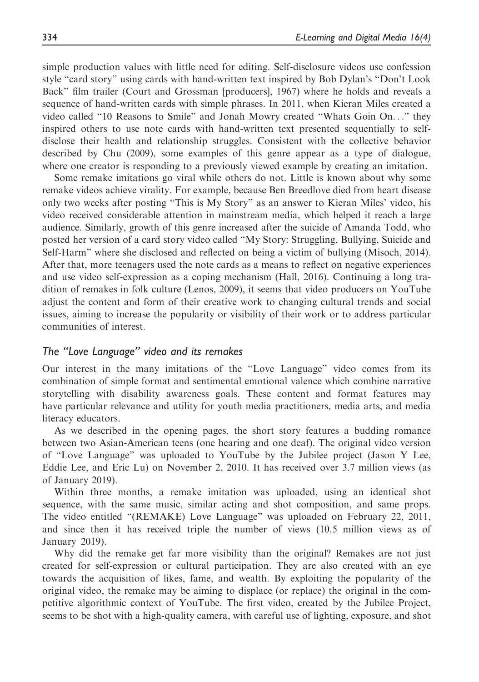simple production values with little need for editing. Self-disclosure videos use confession style "card story" using cards with hand-written text inspired by Bob Dylan's "Don't Look Back" film trailer (Court and Grossman [producers], 1967) where he holds and reveals a sequence of hand-written cards with simple phrases. In 2011, when Kieran Miles created a video called "10 Reasons to Smile" and Jonah Mowry created "Whats Goin On..." they inspired others to use note cards with hand-written text presented sequentially to selfdisclose their health and relationship struggles. Consistent with the collective behavior described by Chu (2009), some examples of this genre appear as a type of dialogue, where one creator is responding to a previously viewed example by creating an imitation.

Some remake imitations go viral while others do not. Little is known about why some remake videos achieve virality. For example, because Ben Breedlove died from heart disease only two weeks after posting "This is My Story" as an answer to Kieran Miles' video, his video received considerable attention in mainstream media, which helped it reach a large audience. Similarly, growth of this genre increased after the suicide of Amanda Todd, who posted her version of a card story video called "My Story: Struggling, Bullying, Suicide and Self-Harm" where she disclosed and reflected on being a victim of bullying (Misoch, 2014). After that, more teenagers used the note cards as a means to reflect on negative experiences and use video self-expression as a coping mechanism (Hall, 2016). Continuing a long tradition of remakes in folk culture (Lenos, 2009), it seems that video producers on YouTube adjust the content and form of their creative work to changing cultural trends and social issues, aiming to increase the popularity or visibility of their work or to address particular communities of interest.

## The "Love Language" video and its remakes

Our interest in the many imitations of the "Love Language" video comes from its combination of simple format and sentimental emotional valence which combine narrative storytelling with disability awareness goals. These content and format features may have particular relevance and utility for youth media practitioners, media arts, and media literacy educators.

As we described in the opening pages, the short story features a budding romance between two Asian-American teens (one hearing and one deaf). The original video version of "Love Language" was uploaded to YouTube by the Jubilee project (Jason Y Lee, Eddie Lee, and Eric Lu) on November 2, 2010. It has received over 3.7 million views (as of January 2019).

Within three months, a remake imitation was uploaded, using an identical shot sequence, with the same music, similar acting and shot composition, and same props. The video entitled "(REMAKE) Love Language" was uploaded on February 22, 2011, and since then it has received triple the number of views (10.5 million views as of January 2019).

Why did the remake get far more visibility than the original? Remakes are not just created for self-expression or cultural participation. They are also created with an eye towards the acquisition of likes, fame, and wealth. By exploiting the popularity of the original video, the remake may be aiming to displace (or replace) the original in the competitive algorithmic context of YouTube. The first video, created by the Jubilee Project, seems to be shot with a high-quality camera, with careful use of lighting, exposure, and shot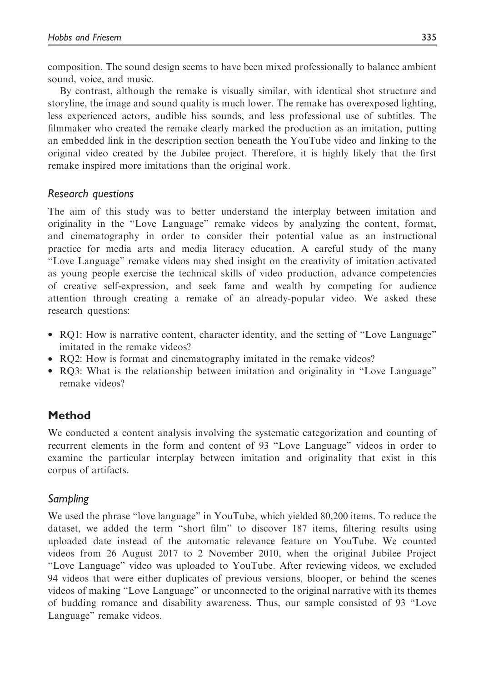composition. The sound design seems to have been mixed professionally to balance ambient sound, voice, and music.

By contrast, although the remake is visually similar, with identical shot structure and storyline, the image and sound quality is much lower. The remake has overexposed lighting, less experienced actors, audible hiss sounds, and less professional use of subtitles. The filmmaker who created the remake clearly marked the production as an imitation, putting an embedded link in the description section beneath the YouTube video and linking to the original video created by the Jubilee project. Therefore, it is highly likely that the first remake inspired more imitations than the original work.

# Research questions

The aim of this study was to better understand the interplay between imitation and originality in the "Love Language" remake videos by analyzing the content, format, and cinematography in order to consider their potential value as an instructional practice for media arts and media literacy education. A careful study of the many "Love Language" remake videos may shed insight on the creativity of imitation activated as young people exercise the technical skills of video production, advance competencies of creative self-expression, and seek fame and wealth by competing for audience attention through creating a remake of an already-popular video. We asked these research questions:

- RQ1: How is narrative content, character identity, and the setting of "Love Language" imitated in the remake videos?
- RO2: How is format and cinematography imitated in the remake videos?
- RQ3: What is the relationship between imitation and originality in "Love Language" remake videos?

# Method

We conducted a content analysis involving the systematic categorization and counting of recurrent elements in the form and content of 93 "Love Language" videos in order to examine the particular interplay between imitation and originality that exist in this corpus of artifacts.

# Sampling

We used the phrase "love language" in YouTube, which yielded 80,200 items. To reduce the dataset, we added the term "short film" to discover 187 items, filtering results using uploaded date instead of the automatic relevance feature on YouTube. We counted videos from 26 August 2017 to 2 November 2010, when the original Jubilee Project "Love Language" video was uploaded to YouTube. After reviewing videos, we excluded 94 videos that were either duplicates of previous versions, blooper, or behind the scenes videos of making "Love Language" or unconnected to the original narrative with its themes of budding romance and disability awareness. Thus, our sample consisted of 93 "Love Language" remake videos.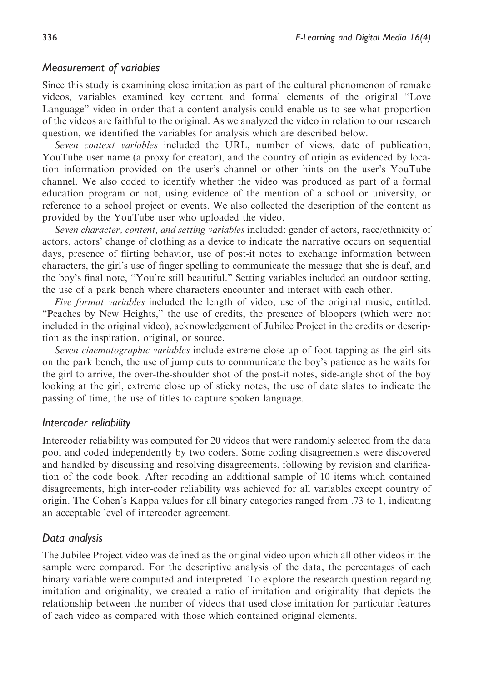# Measurement of variables

Since this study is examining close imitation as part of the cultural phenomenon of remake videos, variables examined key content and formal elements of the original "Love Language" video in order that a content analysis could enable us to see what proportion of the videos are faithful to the original. As we analyzed the video in relation to our research question, we identified the variables for analysis which are described below.

Seven context variables included the URL, number of views, date of publication, YouTube user name (a proxy for creator), and the country of origin as evidenced by location information provided on the user's channel or other hints on the user's YouTube channel. We also coded to identify whether the video was produced as part of a formal education program or not, using evidence of the mention of a school or university, or reference to a school project or events. We also collected the description of the content as provided by the YouTube user who uploaded the video.

Seven character, content, and setting variables included: gender of actors, race/ethnicity of actors, actors' change of clothing as a device to indicate the narrative occurs on sequential days, presence of flirting behavior, use of post-it notes to exchange information between characters, the girl's use of finger spelling to communicate the message that she is deaf, and the boy's final note, "You're still beautiful." Setting variables included an outdoor setting, the use of a park bench where characters encounter and interact with each other.

Five format variables included the length of video, use of the original music, entitled, "Peaches by New Heights," the use of credits, the presence of bloopers (which were not included in the original video), acknowledgement of Jubilee Project in the credits or description as the inspiration, original, or source.

Seven cinematographic variables include extreme close-up of foot tapping as the girl sits on the park bench, the use of jump cuts to communicate the boy's patience as he waits for the girl to arrive, the over-the-shoulder shot of the post-it notes, side-angle shot of the boy looking at the girl, extreme close up of sticky notes, the use of date slates to indicate the passing of time, the use of titles to capture spoken language.

# Intercoder reliability

Intercoder reliability was computed for 20 videos that were randomly selected from the data pool and coded independently by two coders. Some coding disagreements were discovered and handled by discussing and resolving disagreements, following by revision and clarification of the code book. After recoding an additional sample of 10 items which contained disagreements, high inter-coder reliability was achieved for all variables except country of origin. The Cohen's Kappa values for all binary categories ranged from .73 to 1, indicating an acceptable level of intercoder agreement.

# Data analysis

The Jubilee Project video was defined as the original video upon which all other videos in the sample were compared. For the descriptive analysis of the data, the percentages of each binary variable were computed and interpreted. To explore the research question regarding imitation and originality, we created a ratio of imitation and originality that depicts the relationship between the number of videos that used close imitation for particular features of each video as compared with those which contained original elements.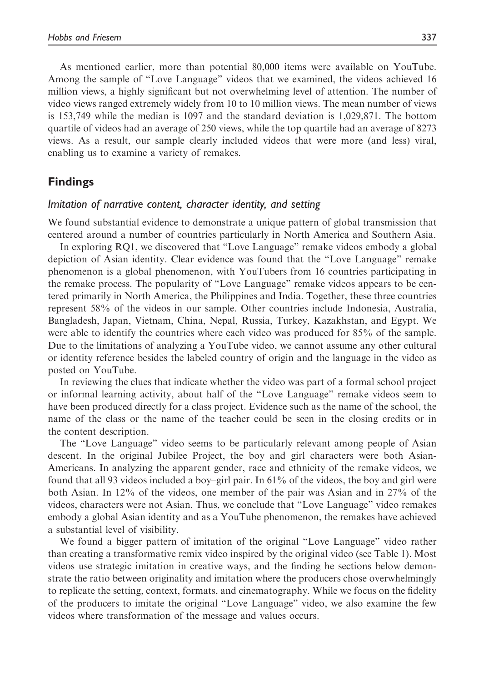As mentioned earlier, more than potential 80,000 items were available on YouTube. Among the sample of "Love Language" videos that we examined, the videos achieved 16 million views, a highly significant but not overwhelming level of attention. The number of video views ranged extremely widely from 10 to 10 million views. The mean number of views is 153,749 while the median is 1097 and the standard deviation is 1,029,871. The bottom quartile of videos had an average of 250 views, while the top quartile had an average of 8273 views. As a result, our sample clearly included videos that were more (and less) viral, enabling us to examine a variety of remakes.

# Findings

### Imitation of narrative content, character identity, and setting

We found substantial evidence to demonstrate a unique pattern of global transmission that centered around a number of countries particularly in North America and Southern Asia.

In exploring RQ1, we discovered that "Love Language" remake videos embody a global depiction of Asian identity. Clear evidence was found that the "Love Language" remake phenomenon is a global phenomenon, with YouTubers from 16 countries participating in the remake process. The popularity of "Love Language" remake videos appears to be centered primarily in North America, the Philippines and India. Together, these three countries represent 58% of the videos in our sample. Other countries include Indonesia, Australia, Bangladesh, Japan, Vietnam, China, Nepal, Russia, Turkey, Kazakhstan, and Egypt. We were able to identify the countries where each video was produced for 85% of the sample. Due to the limitations of analyzing a YouTube video, we cannot assume any other cultural or identity reference besides the labeled country of origin and the language in the video as posted on YouTube.

In reviewing the clues that indicate whether the video was part of a formal school project or informal learning activity, about half of the "Love Language" remake videos seem to have been produced directly for a class project. Evidence such as the name of the school, the name of the class or the name of the teacher could be seen in the closing credits or in the content description.

The "Love Language" video seems to be particularly relevant among people of Asian descent. In the original Jubilee Project, the boy and girl characters were both Asian-Americans. In analyzing the apparent gender, race and ethnicity of the remake videos, we found that all 93 videos included a boy–girl pair. In 61% of the videos, the boy and girl were both Asian. In 12% of the videos, one member of the pair was Asian and in 27% of the videos, characters were not Asian. Thus, we conclude that "Love Language" video remakes embody a global Asian identity and as a YouTube phenomenon, the remakes have achieved a substantial level of visibility.

We found a bigger pattern of imitation of the original "Love Language" video rather than creating a transformative remix video inspired by the original video (see Table 1). Most videos use strategic imitation in creative ways, and the finding he sections below demonstrate the ratio between originality and imitation where the producers chose overwhelmingly to replicate the setting, context, formats, and cinematography. While we focus on the fidelity of the producers to imitate the original "Love Language" video, we also examine the few videos where transformation of the message and values occurs.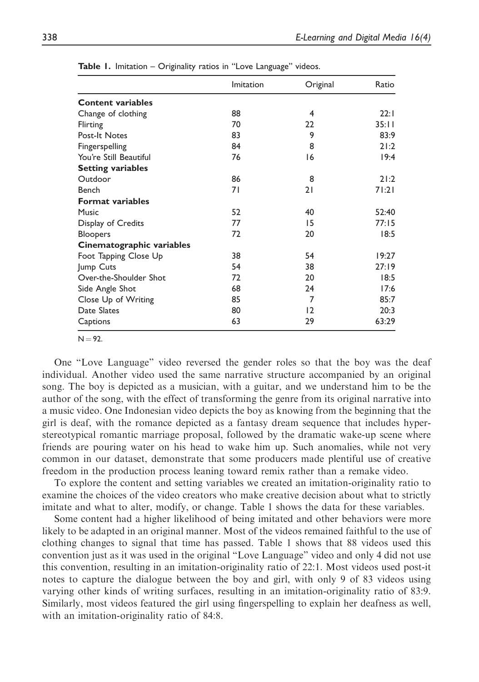|                           | Imitation | Original | Ratio |
|---------------------------|-----------|----------|-------|
| <b>Content variables</b>  |           |          |       |
| Change of clothing        | 88        | 4        | 22:1  |
| Flirting                  | 70        | 22       | 35:11 |
| Post-It Notes             | 83        | 9        | 83:9  |
| Fingerspelling            | 84        | 8        | 21:2  |
| You're Still Beautiful    | 76        | 16       | 19:4  |
| <b>Setting variables</b>  |           |          |       |
| Outdoor                   | 86        | 8        | 21:2  |
| Bench                     | 71        | 21       | 71:21 |
| <b>Format variables</b>   |           |          |       |
| Music                     | 52        | 40       | 52:40 |
| Display of Credits        | 77        | 15       | 77:15 |
| <b>Bloopers</b>           | 72        | 20       | 18:5  |
| Cinematographic variables |           |          |       |
| Foot Tapping Close Up     | 38        | 54       | 19:27 |
| Jump Cuts                 | 54        | 38       | 27:19 |
| Over-the-Shoulder Shot    | 72        | 20       | 18:5  |
| Side Angle Shot           | 68        | 24       | 17:6  |
| Close Up of Writing       | 85        | 7        | 85:7  |
| Date Slates               | 80        | 12       | 20:3  |
| Captions                  | 63        | 29       | 63:29 |

Table 1. Imitation - Originality ratios in "Love Language" videos.

 $N = 92.$ 

One "Love Language" video reversed the gender roles so that the boy was the deaf individual. Another video used the same narrative structure accompanied by an original song. The boy is depicted as a musician, with a guitar, and we understand him to be the author of the song, with the effect of transforming the genre from its original narrative into a music video. One Indonesian video depicts the boy as knowing from the beginning that the girl is deaf, with the romance depicted as a fantasy dream sequence that includes hyperstereotypical romantic marriage proposal, followed by the dramatic wake-up scene where friends are pouring water on his head to wake him up. Such anomalies, while not very common in our dataset, demonstrate that some producers made plentiful use of creative freedom in the production process leaning toward remix rather than a remake video.

To explore the content and setting variables we created an imitation-originality ratio to examine the choices of the video creators who make creative decision about what to strictly imitate and what to alter, modify, or change. Table 1 shows the data for these variables.

Some content had a higher likelihood of being imitated and other behaviors were more likely to be adapted in an original manner. Most of the videos remained faithful to the use of clothing changes to signal that time has passed. Table 1 shows that 88 videos used this convention just as it was used in the original "Love Language" video and only 4 did not use this convention, resulting in an imitation-originality ratio of 22:1. Most videos used post-it notes to capture the dialogue between the boy and girl, with only 9 of 83 videos using varying other kinds of writing surfaces, resulting in an imitation-originality ratio of 83:9. Similarly, most videos featured the girl using fingerspelling to explain her deafness as well, with an imitation-originality ratio of 84:8.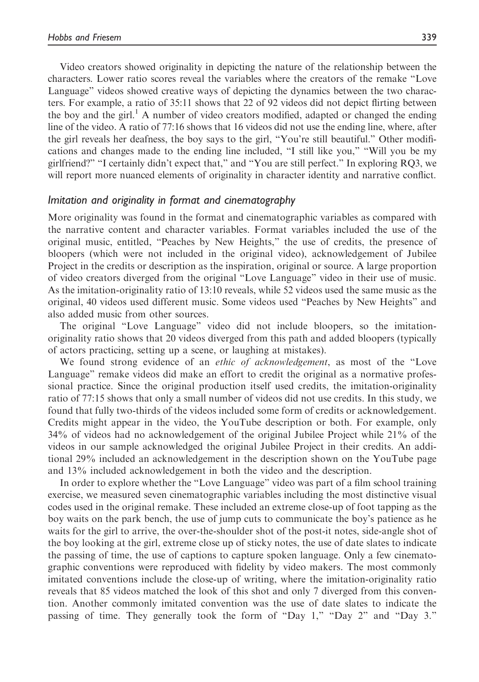Video creators showed originality in depicting the nature of the relationship between the characters. Lower ratio scores reveal the variables where the creators of the remake "Love Language" videos showed creative ways of depicting the dynamics between the two characters. For example, a ratio of 35:11 shows that 22 of 92 videos did not depict flirting between the boy and the girl.<sup>1</sup> A number of video creators modified, adapted or changed the ending line of the video. A ratio of 77:16 shows that 16 videos did not use the ending line, where, after the girl reveals her deafness, the boy says to the girl, "You're still beautiful." Other modifications and changes made to the ending line included, "I still like you," "Will you be my girlfriend?" "I certainly didn't expect that," and "You are still perfect." In exploring RQ3, we will report more nuanced elements of originality in character identity and narrative conflict.

## Imitation and originality in format and cinematography

More originality was found in the format and cinematographic variables as compared with the narrative content and character variables. Format variables included the use of the original music, entitled, "Peaches by New Heights," the use of credits, the presence of bloopers (which were not included in the original video), acknowledgement of Jubilee Project in the credits or description as the inspiration, original or source. A large proportion of video creators diverged from the original "Love Language" video in their use of music. As the imitation-originality ratio of 13:10 reveals, while 52 videos used the same music as the original, 40 videos used different music. Some videos used "Peaches by New Heights" and also added music from other sources.

The original "Love Language" video did not include bloopers, so the imitationoriginality ratio shows that 20 videos diverged from this path and added bloopers (typically of actors practicing, setting up a scene, or laughing at mistakes).

We found strong evidence of an *ethic of acknowledgement*, as most of the "Love Language" remake videos did make an effort to credit the original as a normative professional practice. Since the original production itself used credits, the imitation-originality ratio of 77:15 shows that only a small number of videos did not use credits. In this study, we found that fully two-thirds of the videos included some form of credits or acknowledgement. Credits might appear in the video, the YouTube description or both. For example, only 34% of videos had no acknowledgement of the original Jubilee Project while 21% of the videos in our sample acknowledged the original Jubilee Project in their credits. An additional 29% included an acknowledgement in the description shown on the YouTube page and 13% included acknowledgement in both the video and the description.

In order to explore whether the "Love Language" video was part of a film school training exercise, we measured seven cinematographic variables including the most distinctive visual codes used in the original remake. These included an extreme close-up of foot tapping as the boy waits on the park bench, the use of jump cuts to communicate the boy's patience as he waits for the girl to arrive, the over-the-shoulder shot of the post-it notes, side-angle shot of the boy looking at the girl, extreme close up of sticky notes, the use of date slates to indicate the passing of time, the use of captions to capture spoken language. Only a few cinematographic conventions were reproduced with fidelity by video makers. The most commonly imitated conventions include the close-up of writing, where the imitation-originality ratio reveals that 85 videos matched the look of this shot and only 7 diverged from this convention. Another commonly imitated convention was the use of date slates to indicate the passing of time. They generally took the form of "Day 1," "Day 2" and "Day 3."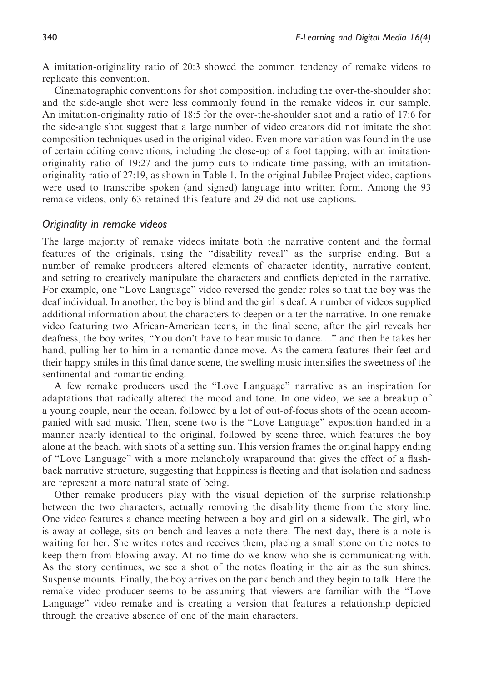A imitation-originality ratio of 20:3 showed the common tendency of remake videos to replicate this convention.

Cinematographic conventions for shot composition, including the over-the-shoulder shot and the side-angle shot were less commonly found in the remake videos in our sample. An imitation-originality ratio of 18:5 for the over-the-shoulder shot and a ratio of 17:6 for the side-angle shot suggest that a large number of video creators did not imitate the shot composition techniques used in the original video. Even more variation was found in the use of certain editing conventions, including the close-up of a foot tapping, with an imitationoriginality ratio of 19:27 and the jump cuts to indicate time passing, with an imitationoriginality ratio of 27:19, as shown in Table 1. In the original Jubilee Project video, captions were used to transcribe spoken (and signed) language into written form. Among the 93 remake videos, only 63 retained this feature and 29 did not use captions.

### Originality in remake videos

The large majority of remake videos imitate both the narrative content and the formal features of the originals, using the "disability reveal" as the surprise ending. But a number of remake producers altered elements of character identity, narrative content, and setting to creatively manipulate the characters and conflicts depicted in the narrative. For example, one "Love Language" video reversed the gender roles so that the boy was the deaf individual. In another, the boy is blind and the girl is deaf. A number of videos supplied additional information about the characters to deepen or alter the narrative. In one remake video featuring two African-American teens, in the final scene, after the girl reveals her deafness, the boy writes, "You don't have to hear music to dance..." and then he takes her hand, pulling her to him in a romantic dance move. As the camera features their feet and their happy smiles in this final dance scene, the swelling music intensifies the sweetness of the sentimental and romantic ending.

A few remake producers used the "Love Language" narrative as an inspiration for adaptations that radically altered the mood and tone. In one video, we see a breakup of a young couple, near the ocean, followed by a lot of out-of-focus shots of the ocean accompanied with sad music. Then, scene two is the "Love Language" exposition handled in a manner nearly identical to the original, followed by scene three, which features the boy alone at the beach, with shots of a setting sun. This version frames the original happy ending of "Love Language" with a more melancholy wraparound that gives the effect of a flashback narrative structure, suggesting that happiness is fleeting and that isolation and sadness are represent a more natural state of being.

Other remake producers play with the visual depiction of the surprise relationship between the two characters, actually removing the disability theme from the story line. One video features a chance meeting between a boy and girl on a sidewalk. The girl, who is away at college, sits on bench and leaves a note there. The next day, there is a note is waiting for her. She writes notes and receives them, placing a small stone on the notes to keep them from blowing away. At no time do we know who she is communicating with. As the story continues, we see a shot of the notes floating in the air as the sun shines. Suspense mounts. Finally, the boy arrives on the park bench and they begin to talk. Here the remake video producer seems to be assuming that viewers are familiar with the "Love Language" video remake and is creating a version that features a relationship depicted through the creative absence of one of the main characters.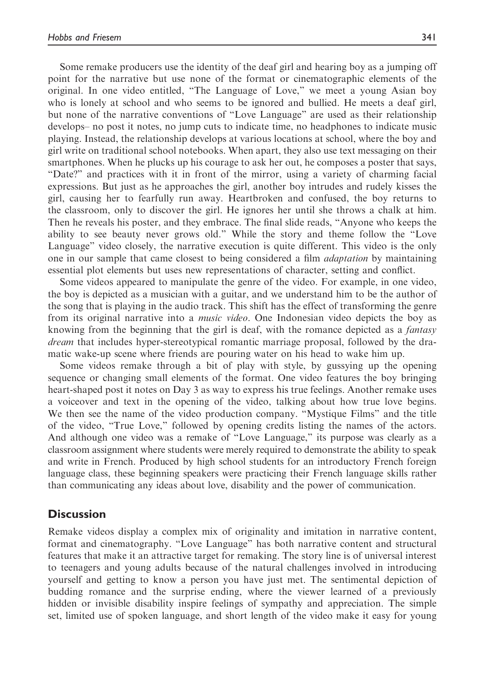Some remake producers use the identity of the deaf girl and hearing boy as a jumping off point for the narrative but use none of the format or cinematographic elements of the original. In one video entitled, "The Language of Love," we meet a young Asian boy who is lonely at school and who seems to be ignored and bullied. He meets a deaf girl, but none of the narrative conventions of "Love Language" are used as their relationship develops– no post it notes, no jump cuts to indicate time, no headphones to indicate music playing. Instead, the relationship develops at various locations at school, where the boy and girl write on traditional school notebooks. When apart, they also use text messaging on their smartphones. When he plucks up his courage to ask her out, he composes a poster that says, "Date?" and practices with it in front of the mirror, using a variety of charming facial expressions. But just as he approaches the girl, another boy intrudes and rudely kisses the girl, causing her to fearfully run away. Heartbroken and confused, the boy returns to the classroom, only to discover the girl. He ignores her until she throws a chalk at him. Then he reveals his poster, and they embrace. The final slide reads, "Anyone who keeps the ability to see beauty never grows old." While the story and theme follow the "Love Language" video closely, the narrative execution is quite different. This video is the only one in our sample that came closest to being considered a film *adaptation* by maintaining essential plot elements but uses new representations of character, setting and conflict.

Some videos appeared to manipulate the genre of the video. For example, in one video, the boy is depicted as a musician with a guitar, and we understand him to be the author of the song that is playing in the audio track. This shift has the effect of transforming the genre from its original narrative into a *music video*. One Indonesian video depicts the boy as knowing from the beginning that the girl is deaf, with the romance depicted as a *fantasy* dream that includes hyper-stereotypical romantic marriage proposal, followed by the dramatic wake-up scene where friends are pouring water on his head to wake him up.

Some videos remake through a bit of play with style, by gussying up the opening sequence or changing small elements of the format. One video features the boy bringing heart-shaped post it notes on Day 3 as way to express his true feelings. Another remake uses a voiceover and text in the opening of the video, talking about how true love begins. We then see the name of the video production company. "Mystique Films" and the title of the video, "True Love," followed by opening credits listing the names of the actors. And although one video was a remake of "Love Language," its purpose was clearly as a classroom assignment where students were merely required to demonstrate the ability to speak and write in French. Produced by high school students for an introductory French foreign language class, these beginning speakers were practicing their French language skills rather than communicating any ideas about love, disability and the power of communication.

# **Discussion**

Remake videos display a complex mix of originality and imitation in narrative content, format and cinematography. "Love Language" has both narrative content and structural features that make it an attractive target for remaking. The story line is of universal interest to teenagers and young adults because of the natural challenges involved in introducing yourself and getting to know a person you have just met. The sentimental depiction of budding romance and the surprise ending, where the viewer learned of a previously hidden or invisible disability inspire feelings of sympathy and appreciation. The simple set, limited use of spoken language, and short length of the video make it easy for young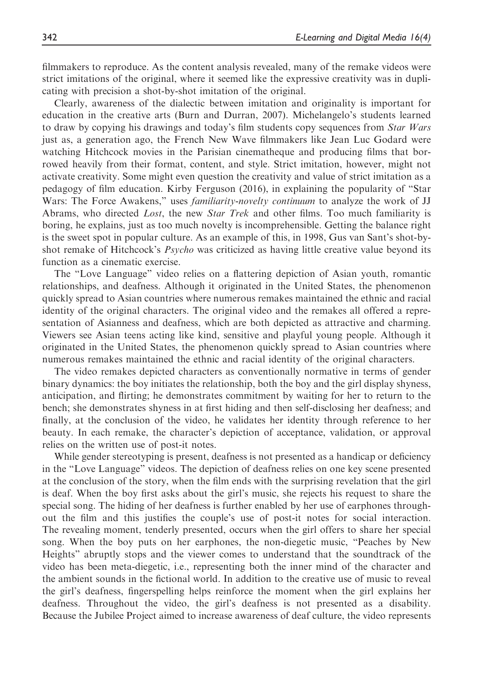filmmakers to reproduce. As the content analysis revealed, many of the remake videos were strict imitations of the original, where it seemed like the expressive creativity was in duplicating with precision a shot-by-shot imitation of the original.

Clearly, awareness of the dialectic between imitation and originality is important for education in the creative arts (Burn and Durran, 2007). Michelangelo's students learned to draw by copying his drawings and today's film students copy sequences from Star Wars just as, a generation ago, the French New Wave filmmakers like Jean Luc Godard were watching Hitchcock movies in the Parisian cinematheque and producing films that borrowed heavily from their format, content, and style. Strict imitation, however, might not activate creativity. Some might even question the creativity and value of strict imitation as a pedagogy of film education. Kirby Ferguson (2016), in explaining the popularity of "Star Wars: The Force Awakens," uses *familiarity-novelty continuum* to analyze the work of JJ Abrams, who directed Lost, the new Star Trek and other films. Too much familiarity is boring, he explains, just as too much novelty is incomprehensible. Getting the balance right is the sweet spot in popular culture. As an example of this, in 1998, Gus van Sant's shot-byshot remake of Hitchcock's Psycho was criticized as having little creative value beyond its function as a cinematic exercise.

The "Love Language" video relies on a flattering depiction of Asian youth, romantic relationships, and deafness. Although it originated in the United States, the phenomenon quickly spread to Asian countries where numerous remakes maintained the ethnic and racial identity of the original characters. The original video and the remakes all offered a representation of Asianness and deafness, which are both depicted as attractive and charming. Viewers see Asian teens acting like kind, sensitive and playful young people. Although it originated in the United States, the phenomenon quickly spread to Asian countries where numerous remakes maintained the ethnic and racial identity of the original characters.

The video remakes depicted characters as conventionally normative in terms of gender binary dynamics: the boy initiates the relationship, both the boy and the girl display shyness, anticipation, and flirting; he demonstrates commitment by waiting for her to return to the bench; she demonstrates shyness in at first hiding and then self-disclosing her deafness; and finally, at the conclusion of the video, he validates her identity through reference to her beauty. In each remake, the character's depiction of acceptance, validation, or approval relies on the written use of post-it notes.

While gender stereotyping is present, deafness is not presented as a handicap or deficiency in the "Love Language" videos. The depiction of deafness relies on one key scene presented at the conclusion of the story, when the film ends with the surprising revelation that the girl is deaf. When the boy first asks about the girl's music, she rejects his request to share the special song. The hiding of her deafness is further enabled by her use of earphones throughout the film and this justifies the couple's use of post-it notes for social interaction. The revealing moment, tenderly presented, occurs when the girl offers to share her special song. When the boy puts on her earphones, the non-diegetic music, "Peaches by New Heights" abruptly stops and the viewer comes to understand that the soundtrack of the video has been meta-diegetic, i.e., representing both the inner mind of the character and the ambient sounds in the fictional world. In addition to the creative use of music to reveal the girl's deafness, fingerspelling helps reinforce the moment when the girl explains her deafness. Throughout the video, the girl's deafness is not presented as a disability. Because the Jubilee Project aimed to increase awareness of deaf culture, the video represents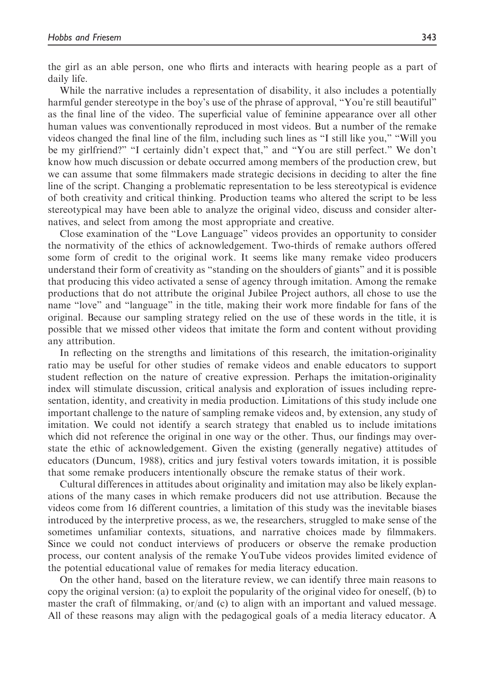the girl as an able person, one who flirts and interacts with hearing people as a part of daily life.

While the narrative includes a representation of disability, it also includes a potentially harmful gender stereotype in the boy's use of the phrase of approval, "You're still beautiful" as the final line of the video. The superficial value of feminine appearance over all other human values was conventionally reproduced in most videos. But a number of the remake videos changed the final line of the film, including such lines as "I still like you," "Will you be my girlfriend?" "I certainly didn't expect that," and "You are still perfect." We don't know how much discussion or debate occurred among members of the production crew, but we can assume that some filmmakers made strategic decisions in deciding to alter the fine line of the script. Changing a problematic representation to be less stereotypical is evidence of both creativity and critical thinking. Production teams who altered the script to be less stereotypical may have been able to analyze the original video, discuss and consider alternatives, and select from among the most appropriate and creative.

Close examination of the "Love Language" videos provides an opportunity to consider the normativity of the ethics of acknowledgement. Two-thirds of remake authors offered some form of credit to the original work. It seems like many remake video producers understand their form of creativity as "standing on the shoulders of giants" and it is possible that producing this video activated a sense of agency through imitation. Among the remake productions that do not attribute the original Jubilee Project authors, all chose to use the name "love" and "language" in the title, making their work more findable for fans of the original. Because our sampling strategy relied on the use of these words in the title, it is possible that we missed other videos that imitate the form and content without providing any attribution.

In reflecting on the strengths and limitations of this research, the imitation-originality ratio may be useful for other studies of remake videos and enable educators to support student reflection on the nature of creative expression. Perhaps the imitation-originality index will stimulate discussion, critical analysis and exploration of issues including representation, identity, and creativity in media production. Limitations of this study include one important challenge to the nature of sampling remake videos and, by extension, any study of imitation. We could not identify a search strategy that enabled us to include imitations which did not reference the original in one way or the other. Thus, our findings may overstate the ethic of acknowledgement. Given the existing (generally negative) attitudes of educators (Duncum, 1988), critics and jury festival voters towards imitation, it is possible that some remake producers intentionally obscure the remake status of their work.

Cultural differences in attitudes about originality and imitation may also be likely explanations of the many cases in which remake producers did not use attribution. Because the videos come from 16 different countries, a limitation of this study was the inevitable biases introduced by the interpretive process, as we, the researchers, struggled to make sense of the sometimes unfamiliar contexts, situations, and narrative choices made by filmmakers. Since we could not conduct interviews of producers or observe the remake production process, our content analysis of the remake YouTube videos provides limited evidence of the potential educational value of remakes for media literacy education.

On the other hand, based on the literature review, we can identify three main reasons to copy the original version: (a) to exploit the popularity of the original video for oneself, (b) to master the craft of filmmaking, or/and (c) to align with an important and valued message. All of these reasons may align with the pedagogical goals of a media literacy educator. A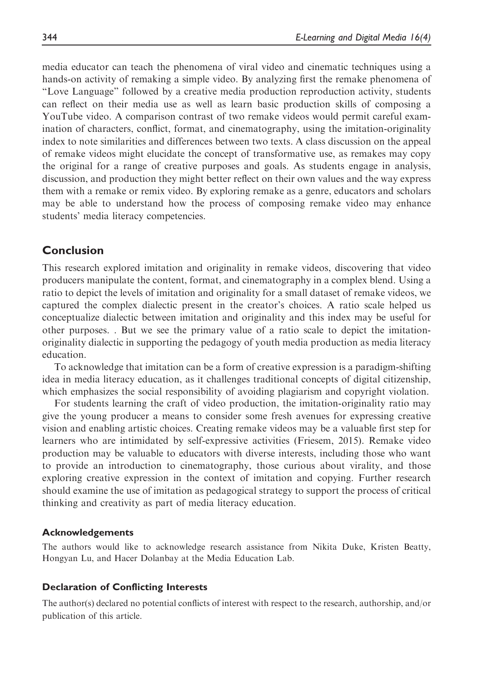media educator can teach the phenomena of viral video and cinematic techniques using a hands-on activity of remaking a simple video. By analyzing first the remake phenomena of "Love Language" followed by a creative media production reproduction activity, students can reflect on their media use as well as learn basic production skills of composing a YouTube video. A comparison contrast of two remake videos would permit careful examination of characters, conflict, format, and cinematography, using the imitation-originality index to note similarities and differences between two texts. A class discussion on the appeal of remake videos might elucidate the concept of transformative use, as remakes may copy the original for a range of creative purposes and goals. As students engage in analysis, discussion, and production they might better reflect on their own values and the way express them with a remake or remix video. By exploring remake as a genre, educators and scholars may be able to understand how the process of composing remake video may enhance students' media literacy competencies.

# Conclusion

This research explored imitation and originality in remake videos, discovering that video producers manipulate the content, format, and cinematography in a complex blend. Using a ratio to depict the levels of imitation and originality for a small dataset of remake videos, we captured the complex dialectic present in the creator's choices. A ratio scale helped us conceptualize dialectic between imitation and originality and this index may be useful for other purposes. . But we see the primary value of a ratio scale to depict the imitationoriginality dialectic in supporting the pedagogy of youth media production as media literacy education.

To acknowledge that imitation can be a form of creative expression is a paradigm-shifting idea in media literacy education, as it challenges traditional concepts of digital citizenship, which emphasizes the social responsibility of avoiding plagiarism and copyright violation.

For students learning the craft of video production, the imitation-originality ratio may give the young producer a means to consider some fresh avenues for expressing creative vision and enabling artistic choices. Creating remake videos may be a valuable first step for learners who are intimidated by self-expressive activities (Friesem, 2015). Remake video production may be valuable to educators with diverse interests, including those who want to provide an introduction to cinematography, those curious about virality, and those exploring creative expression in the context of imitation and copying. Further research should examine the use of imitation as pedagogical strategy to support the process of critical thinking and creativity as part of media literacy education.

### Acknowledgements

The authors would like to acknowledge research assistance from Nikita Duke, Kristen Beatty, Hongyan Lu, and Hacer Dolanbay at the Media Education Lab.

#### Declaration of Conflicting Interests

The author(s) declared no potential conflicts of interest with respect to the research, authorship, and/or publication of this article.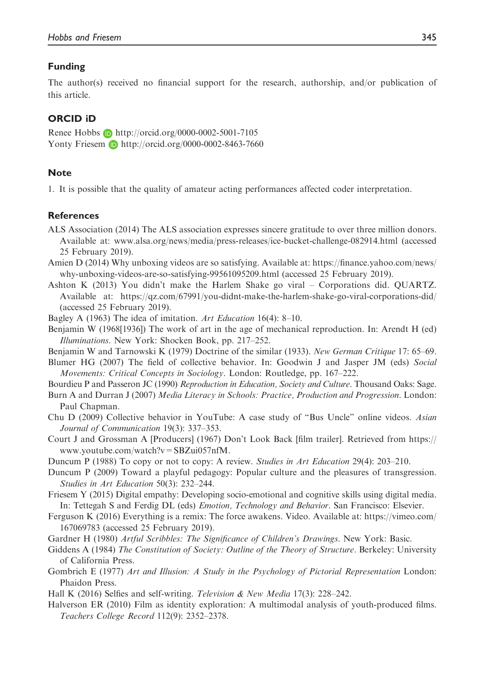### Funding

The author(s) received no financial support for the research, authorship, and/or publication of this article.

## ORCID iD

Renee Hobbs **b** <http://orcid.org/0000-0002-5001-7105> [Yonty Friesem](http://orcid.org/0000-0002-5001-7105) D <http://orcid.org/0000-0002-8463-7660>

#### **Note**

1. It is possible that the quality of amateur acting performances affected coder interpretation.

#### References

- ALS Association (2014) The ALS association expresses sincere gratitude to over three million donors. Available at: www.alsa.org/news/media/press-releases/ice-bucket-challenge-082914.html (accessed 25 February 2019).
- Amien D (2014) Why unboxing videos are so satisfying. Available at: https://finance.yahoo.com/news/ why-unboxing-videos-are-so-satisfying-99561095209.html (accessed 25 February 2019).
- Ashton K (2013) You didn't make the Harlem Shake go viral Corporations did. QUARTZ. Available at: https://qz.com/67991/you-didnt-make-the-harlem-shake-go-viral-corporations-did/ (accessed 25 February 2019).
- Bagley A (1963) The idea of imitation. Art Education 16(4): 8–10.
- Benjamin W (1968[1936]) The work of art in the age of mechanical reproduction. In: Arendt H (ed) Illuminations. New York: Shocken Book, pp. 217–252.
- Benjamin W and Tarnowski K (1979) Doctrine of the similar (1933). New German Critique 17: 65–69.
- Blumer HG (2007) The field of collective behavior. In: Goodwin J and Jasper JM (eds) Social Movements: Critical Concepts in Sociology. London: Routledge, pp. 167–222.

Bourdieu P and Passeron JC (1990) Reproduction in Education, Society and Culture. Thousand Oaks: Sage.

- Burn A and Durran J (2007) Media Literacy in Schools: Practice, Production and Progression. London: Paul Chapman.
- Chu D (2009) Collective behavior in YouTube: A case study of "Bus Uncle" online videos. Asian Journal of Communication 19(3): 337–353.
- Court J and Grossman A [Producers] (1967) Don't Look Back [film trailer]. Retrieved from [https://](https://www.youtube.com/watch?v=SBZui057nfM) [www.youtube.com/watch?v=SBZui057nfM.](https://www.youtube.com/watch?v=SBZui057nfM)
- Duncum P (1988) To copy or not to copy: A review. Studies in Art Education 29(4): 203–210.
- Duncum P (2009) Toward a playful pedagogy: Popular culture and the pleasures of transgression. Studies in Art Education 50(3): 232–244.
- Friesem Y (2015) Digital empathy: Developing socio-emotional and cognitive skills using digital media. In: Tettegah S and Ferdig DL (eds) Emotion, Technology and Behavior. San Francisco: Elsevier.
- Ferguson K (2016) Everything is a remix: The force awakens. Video. Available at: https://vimeo.com/ 167069783 (accessed 25 February 2019).
- Gardner H (1980) Artful Scribbles: The Significance of Children's Drawings. New York: Basic.
- Giddens A (1984) The Constitution of Society: Outline of the Theory of Structure. Berkeley: University of California Press.
- Gombrich E (1977) Art and Illusion: A Study in the Psychology of Pictorial Representation London: Phaidon Press.
- Hall K (2016) Selfies and self-writing. Television & New Media 17(3): 228–242.
- Halverson ER (2010) Film as identity exploration: A multimodal analysis of youth-produced films. Teachers College Record 112(9): 2352–2378.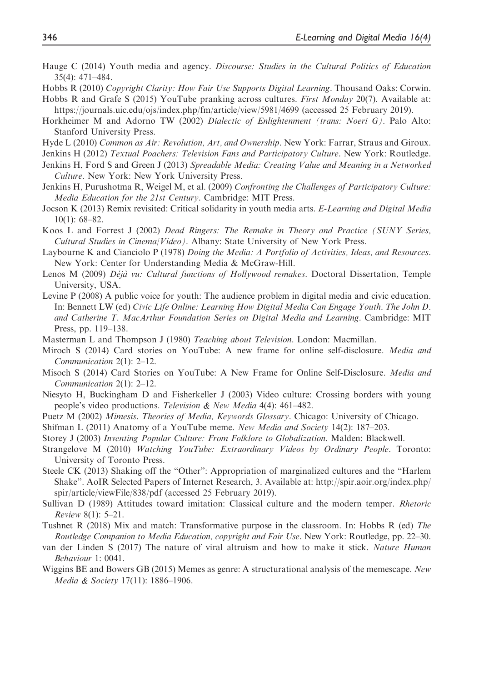- Hauge C (2014) Youth media and agency. Discourse: Studies in the Cultural Politics of Education 35(4): 471–484.
- Hobbs R (2010) Copyright Clarity: How Fair Use Supports Digital Learning. Thousand Oaks: Corwin. Hobbs R and Grafe S (2015) YouTube pranking across cultures. First Monday 20(7). Available at:
- <https://journals.uic.edu/ojs/index.php/fm/article/view/5981/4699> (accessed 25 February 2019).
- Horkheimer M and Adorno TW (2002) Dialectic of Enlightenment (trans: Noeri G). Palo Alto: Stanford University Press.
- Hyde L (2010) Common as Air: Revolution, Art, and Ownership. New York: Farrar, Straus and Giroux.
- Jenkins H (2012) Textual Poachers: Television Fans and Participatory Culture. New York: Routledge.
- Jenkins H, Ford S and Green J (2013) Spreadable Media: Creating Value and Meaning in a Networked Culture. New York: New York University Press.
- Jenkins H, Purushotma R, Weigel M, et al. (2009) Confronting the Challenges of Participatory Culture: Media Education for the 21st Century. Cambridge: MIT Press.
- Jocson K (2013) Remix revisited: Critical solidarity in youth media arts. E-Learning and Digital Media 10(1): 68–82.
- Koos L and Forrest J (2002) Dead Ringers: The Remake in Theory and Practice (SUNY Series, Cultural Studies in Cinema/Video). Albany: State University of New York Press.
- Laybourne K and Cianciolo P (1978) Doing the Media: A Portfolio of Activities, Ideas, and Resources. New York: Center for Understanding Media & McGraw-Hill.
- Lenos M (2009) Déjà vu: Cultural functions of Hollywood remakes. Doctoral Dissertation, Temple University, USA.
- Levine P (2008) A public voice for youth: The audience problem in digital media and civic education. In: Bennett LW (ed) Civic Life Online: Learning How Digital Media Can Engage Youth. The John D. and Catherine T. MacArthur Foundation Series on Digital Media and Learning. Cambridge: MIT Press, pp. 119–138.
- Masterman L and Thompson J (1980) Teaching about Television. London: Macmillan.
- Miroch S (2014) Card stories on YouTube: A new frame for online self-disclosure. Media and Communication 2(1): 2–12.
- Misoch S (2014) Card Stories on YouTube: A New Frame for Online Self-Disclosure. Media and Communication 2(1): 2–12.
- Niesyto H, Buckingham D and Fisherkeller J (2003) Video culture: Crossing borders with young people's video productions. Television & New Media 4(4): 461–482.
- Puetz M (2002) Mimesis. Theories of Media, Keywords Glossary. Chicago: University of Chicago.
- Shifman L (2011) Anatomy of a YouTube meme. New Media and Society 14(2): 187–203.
- Storey J (2003) Inventing Popular Culture: From Folklore to Globalization. Malden: Blackwell.
- Strangelove M (2010) Watching YouTube: Extraordinary Videos by Ordinary People. Toronto: University of Toronto Press.
- Steele CK (2013) Shaking off the "Other": Appropriation of marginalized cultures and the "Harlem Shake". AoIR Selected Papers of Internet Research, 3. Available at: http://spir.aoir.org/index.php/ spir/article/viewFile/838/pdf (accessed 25 February 2019).
- Sullivan D (1989) Attitudes toward imitation: Classical culture and the modern temper. Rhetoric Review 8(1): 5–21.
- Tushnet R (2018) Mix and match: Transformative purpose in the classroom. In: Hobbs R (ed) The Routledge Companion to Media Education, copyright and Fair Use. New York: Routledge, pp. 22–30.
- van der Linden S (2017) The nature of viral altruism and how to make it stick. Nature Human Behaviour 1: 0041.
- Wiggins BE and Bowers GB (2015) Memes as genre: A structurational analysis of the memescape. New Media & Society 17(11): 1886–1906.